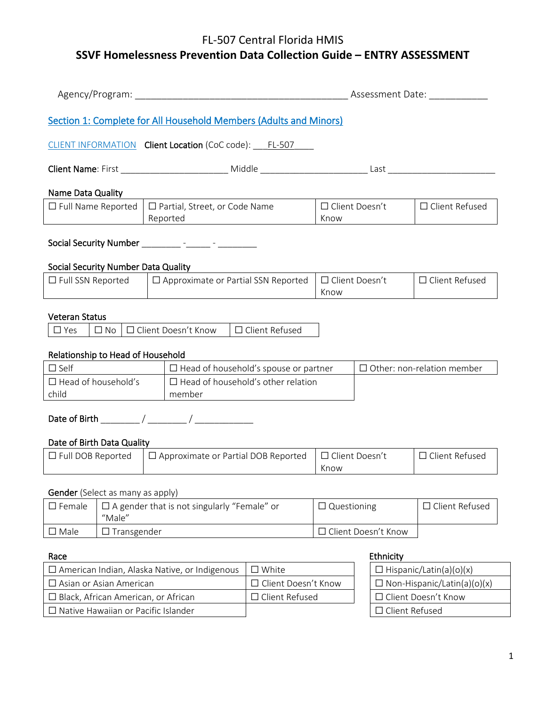|                                                                                                                                                                                                                                                                                                                             |                    |  |                                                                   |                               |                                    |                  |                       | Assessment Date:               |
|-----------------------------------------------------------------------------------------------------------------------------------------------------------------------------------------------------------------------------------------------------------------------------------------------------------------------------|--------------------|--|-------------------------------------------------------------------|-------------------------------|------------------------------------|------------------|-----------------------|--------------------------------|
|                                                                                                                                                                                                                                                                                                                             |                    |  | Section 1: Complete for All Household Members (Adults and Minors) |                               |                                    |                  |                       |                                |
|                                                                                                                                                                                                                                                                                                                             |                    |  | CLIENT INFORMATION Client Location (CoC code): ____ FL-507        |                               |                                    |                  |                       |                                |
|                                                                                                                                                                                                                                                                                                                             |                    |  |                                                                   |                               |                                    |                  |                       |                                |
| Name Data Quality                                                                                                                                                                                                                                                                                                           |                    |  |                                                                   |                               |                                    |                  |                       |                                |
| □ Partial, Street, or Code Name<br>$\Box$ Full Name Reported<br>Reported                                                                                                                                                                                                                                                    |                    |  | □ Client Doesn't<br>$\Box$ Client Refused<br>Know                 |                               |                                    |                  |                       |                                |
|                                                                                                                                                                                                                                                                                                                             |                    |  | Social Security Number __________ -______ - _______ -             |                               |                                    |                  |                       |                                |
| <b>Social Security Number Data Quality</b>                                                                                                                                                                                                                                                                                  |                    |  |                                                                   |                               |                                    |                  |                       |                                |
| $\Box$ Approximate or Partial SSN Reported<br>$\Box$ Full SSN Reported                                                                                                                                                                                                                                                      |                    |  |                                                                   | $\Box$ Client Doesn't<br>Know |                                    |                  | $\Box$ Client Refused |                                |
| <b>Veteran Status</b><br>$\Box$ Client Doesn't Know $\Box$ Client Refused<br>$\square$ No<br>$\Box$ Yes<br>Relationship to Head of Household<br>$\Box$ Self<br>$\Box$ Other: non-relation member<br>$\Box$ Head of household's spouse or partner<br>$\Box$ Head of household's<br>$\Box$ Head of household's other relation |                    |  |                                                                   |                               |                                    |                  |                       |                                |
| child                                                                                                                                                                                                                                                                                                                       | member             |  |                                                                   |                               |                                    |                  |                       |                                |
| Date of Birth Data Quality                                                                                                                                                                                                                                                                                                  |                    |  |                                                                   |                               |                                    |                  |                       |                                |
| $\Box$ Full DOB Reported<br>$\Box$ Approximate or Partial DOB Reported                                                                                                                                                                                                                                                      |                    |  |                                                                   | $\Box$ Client Doesn't<br>Know |                                    |                  | $\Box$ Client Refused |                                |
| Gender (Select as many as apply)                                                                                                                                                                                                                                                                                            |                    |  |                                                                   |                               |                                    |                  |                       |                                |
| □ A gender that is not singularly "Female" or<br>$\square$ Female<br>"Male"                                                                                                                                                                                                                                                 |                    |  |                                                                   | $\Box$ Questioning            |                                    | □ Client Refused |                       |                                |
| $\square$ Male                                                                                                                                                                                                                                                                                                              | $\Box$ Transgender |  |                                                                   |                               |                                    |                  | □ Client Doesn't Know |                                |
| Race                                                                                                                                                                                                                                                                                                                        |                    |  |                                                                   |                               |                                    |                  | Ethnicity             |                                |
|                                                                                                                                                                                                                                                                                                                             |                    |  |                                                                   | $\square$ White               |                                    |                  |                       | $\Box$ Hispanic/Latin(a)(o)(x) |
| □ American Indian, Alaska Native, or Indigenous<br>□ Asian or Asian American                                                                                                                                                                                                                                                |                    |  |                                                                   | □ Client Doesn't Know         | $\Box$ Non-Hispanic/Latin(a)(o)(x) |                  |                       |                                |

☐ Native Hawaiian or Pacific Islander ☐ Client Refused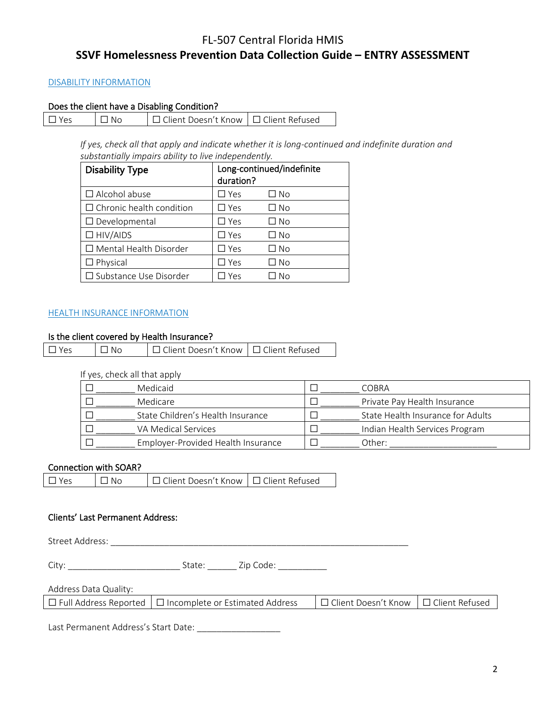#### DISABILITY INFORMATION

#### Does the client have a Disabling Condition?

|  | $\Box$ Yes | $\Box$ No | □ Client Doesn't Know   □ Client Refused |  |
|--|------------|-----------|------------------------------------------|--|
|--|------------|-----------|------------------------------------------|--|

*If yes, check all that apply and indicate whether it is long-continued and indefinite duration and substantially impairs ability to live independently.*

| <b>Disability Type</b>          | Long-continued/indefinite<br>duration? |           |  |
|---------------------------------|----------------------------------------|-----------|--|
| $\Box$ Alcohol abuse            | $\square$ Yes                          | □ No      |  |
| $\Box$ Chronic health condition | $\Box$ Yes                             | □ No      |  |
| $\Box$ Developmental            | $\square$ Yes                          | □ No      |  |
| $\Box$ HIV/AIDS                 | $\square$ Yes                          | □ No      |  |
| □ Mental Health Disorder        | $\Box$ Yes                             | □ No      |  |
| $\Box$ Physical                 | $\square$ Yes                          | $\Box$ No |  |
| □ Substance Use Disorder        | Yes                                    | N∩        |  |

#### HEALTH INSURANCE INFORMATION

## Is the client covered by Health Insurance?

| $\Box$ Yes<br>' □ No | □ Client Doesn't Know   □ Client Refused |  |
|----------------------|------------------------------------------|--|
|----------------------|------------------------------------------|--|

#### If yes, check all that apply

| Medicaid                           | COBRA                             |
|------------------------------------|-----------------------------------|
| Medicare                           | Private Pay Health Insurance      |
| State Children's Health Insurance  | State Health Insurance for Adults |
| VA Medical Services                | Indian Health Services Program    |
| Employer-Provided Health Insurance | Other:                            |

#### Connection with SOAR?

| □ Client Doesn't Know I □ Client Refused<br>∩ N∩<br>$\Box$ Yes |
|----------------------------------------------------------------|
|----------------------------------------------------------------|

#### Clients' Last Permanent Address:

Street Address: \_\_\_\_\_\_\_\_\_\_\_\_\_\_\_\_\_\_\_\_\_\_\_\_\_\_\_\_\_\_\_\_\_\_\_\_\_\_\_\_\_\_\_\_\_\_\_\_\_\_\_\_\_\_\_\_\_\_\_\_\_

City: \_\_\_\_\_\_\_\_\_\_\_\_\_\_\_\_\_\_\_\_\_\_\_ State: \_\_\_\_\_\_ Zip Code: \_\_\_\_\_\_\_\_\_\_

# Address Data Quality:

| $\Box$ Full Address Reported $\Box$ Incomplete or Estimated Address | │□ Client Doesn't Know │□ Client Refused |
|---------------------------------------------------------------------|------------------------------------------|
|---------------------------------------------------------------------|------------------------------------------|

Last Permanent Address's Start Date: \_\_\_\_\_\_\_\_\_\_\_\_\_\_\_\_\_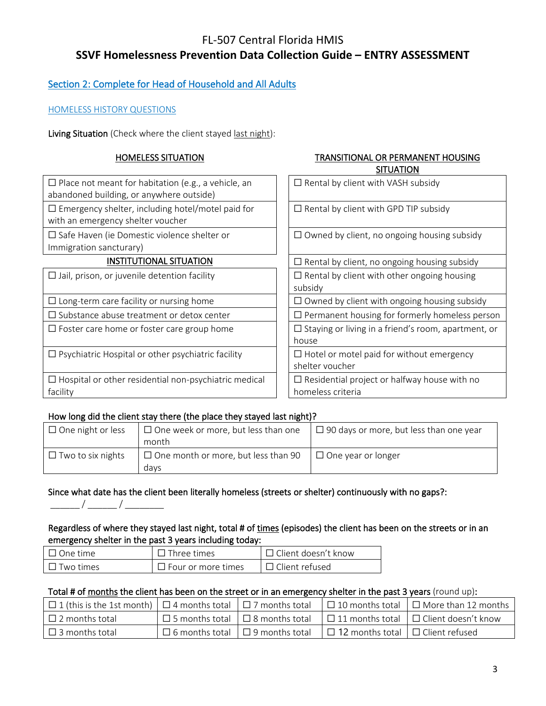## Section 2: Complete for Head of Household and All Adults

### HOMELESS HISTORY QUESTIONS

Living Situation (Check where the client stayed last night):

#### HOMELESS SITUATION TRANSITIONAL OR PERMANENT HOUSING

|                                                                                                        | <b>SITUATION</b>                                                         |
|--------------------------------------------------------------------------------------------------------|--------------------------------------------------------------------------|
| $\Box$ Place not meant for habitation (e.g., a vehicle, an<br>abandoned building, or anywhere outside) | $\Box$ Rental by client with VASH subsidy                                |
| $\Box$ Emergency shelter, including hotel/motel paid for<br>with an emergency shelter voucher          | $\Box$ Rental by client with GPD TIP subsidy                             |
| $\square$ Safe Haven (ie Domestic violence shelter or<br>Immigration sancturary)                       | $\Box$ Owned by client, no ongoing housing subsidy                       |
| <b>INSTITUTIONAL SITUATION</b>                                                                         | $\Box$ Rental by client, no ongoing housing subsidy                      |
| $\Box$ Jail, prison, or juvenile detention facility                                                    | $\Box$ Rental by client with other ongoing housing<br>subsidy            |
| $\Box$ Long-term care facility or nursing home                                                         | $\Box$ Owned by client with ongoing housing subsidy                      |
| $\Box$ Substance abuse treatment or detox center                                                       | $\Box$ Permanent housing for formerly homeless person                    |
| $\Box$ Foster care home or foster care group home                                                      | $\Box$ Staying or living in a friend's room, apartment, or<br>house      |
| $\Box$ Psychiatric Hospital or other psychiatric facility                                              | $\Box$ Hotel or motel paid for without emergency<br>shelter voucher      |
| $\Box$ Hospital or other residential non-psychiatric medical<br>facility                               | $\Box$ Residential project or halfway house with no<br>homeless criteria |
|                                                                                                        |                                                                          |

#### How long did the client stay there (the place they stayed last night)?

| $\Box$ One night or less | $\Box$ One week or more, but less than one | $\Box$ 90 days or more, but less than one year |
|--------------------------|--------------------------------------------|------------------------------------------------|
|                          | month                                      |                                                |
| $\Box$ Two to six nights | $\Box$ One month or more, but less than 90 | $\Box$ One year or longer                      |
|                          | davs                                       |                                                |

# Since what date has the client been literally homeless (streets or shelter) continuously with no gaps?:

\_\_\_\_\_\_ / \_\_\_\_\_\_ / \_\_\_\_\_\_\_\_

### Regardless of where they stayed last night, total # of times (episodes) the client has been on the streets or in an emergency shelter in the past 3 years including today:

| $\Box$ One time  | $\Box$ Three times        | $\Box$ Client doesn't know |
|------------------|---------------------------|----------------------------|
| $\Box$ Two times | $\Box$ Four or more times | $\Box$ Client refused      |

#### Total # of months the client has been on the street or in an emergency shelter in the past 3 years (round up):

| □ 1 (this is the 1st month)   □ 4 months total   □ 7 months total   □ 10 months total   □ More than 12 months |  |                                                                                          |                                                                                               |
|---------------------------------------------------------------------------------------------------------------|--|------------------------------------------------------------------------------------------|-----------------------------------------------------------------------------------------------|
| $\Box$ 2 months total                                                                                         |  |                                                                                          | $\Box$ 5 months total $\Box$ 8 months total $\Box$ 11 months total $\Box$ Client doesn't know |
| $\Box$ 3 months total                                                                                         |  | $\Box$ 6 months total $\Box$ 9 months total $\Box$ 12 months total $\Box$ Client refused |                                                                                               |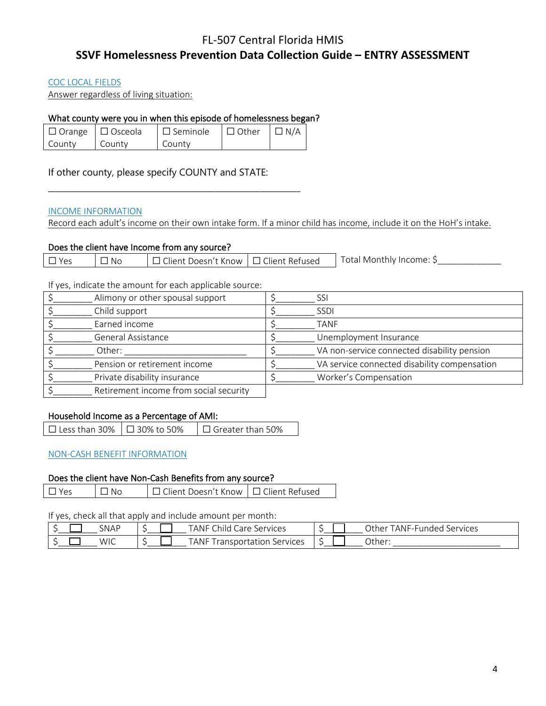#### COC LOCAL FIELDS

Answer regardless of living situation:

#### What county were you in when this episode of homelessness began?

|        | $\Box$ Orange $\Box$ Osceola | $\Box$ Seminole $\Box$ Other $\Box$ N/A |  |
|--------|------------------------------|-----------------------------------------|--|
| County | County                       | County                                  |  |

\_\_\_\_\_\_\_\_\_\_\_\_\_\_\_\_\_\_\_\_\_\_\_\_\_\_\_\_\_\_\_\_\_\_\_\_\_\_\_\_\_\_\_\_\_\_\_\_\_\_\_\_\_\_\_\_\_\_\_\_\_\_

If other county, please specify COUNTY and STATE:

#### INCOME INFORMATION

Record each adult's income on their own intake form. If a minor child has income, include it on the HoH's intake.

#### Does the client have Income from any source?

| Total,<br>$\mathsf I\ \square$ Client Refused<br>$\sim$ $\cdot$<br>I Monthiv Income: I<br>No<br>Doesn't Know T<br>۷۵،<br>llent : |  |
|----------------------------------------------------------------------------------------------------------------------------------|--|
|----------------------------------------------------------------------------------------------------------------------------------|--|

If yes, indicate the amount for each applicable source:

| Alimony or other spousal support       | SSI                                          |
|----------------------------------------|----------------------------------------------|
| Child support                          | <b>SSDI</b>                                  |
| Earned income                          | <b>TANF</b>                                  |
| General Assistance                     | Unemployment Insurance                       |
| Other:                                 | VA non-service connected disability pension  |
| Pension or retirement income           | VA service connected disability compensation |
| Private disability insurance           | Worker's Compensation                        |
| Retirement income from social security |                                              |

### Household Income as a Percentage of AMI:

| $\Box$ Less than 30% $\Box$ 30% to 50% | $\Box$ Greater than 50% |
|----------------------------------------|-------------------------|
|----------------------------------------|-------------------------|

### NON-CASH BENEFIT INFORMATION

#### Does the client have Non-Cash Benefits from any source?

☐ Yes ☐ No ☐ Client Doesn't Know ☐ Client Refused

#### If yes, check all that apply and include amount per month:

| SNAP | Child<br><b>TANF L</b><br>Services<br>Care |        | TANF-Funded _<br>Other<br>Services |
|------|--------------------------------------------|--------|------------------------------------|
| WIC  | <b>TANF</b><br>Services<br>ransportation   | $\sim$ | Other:                             |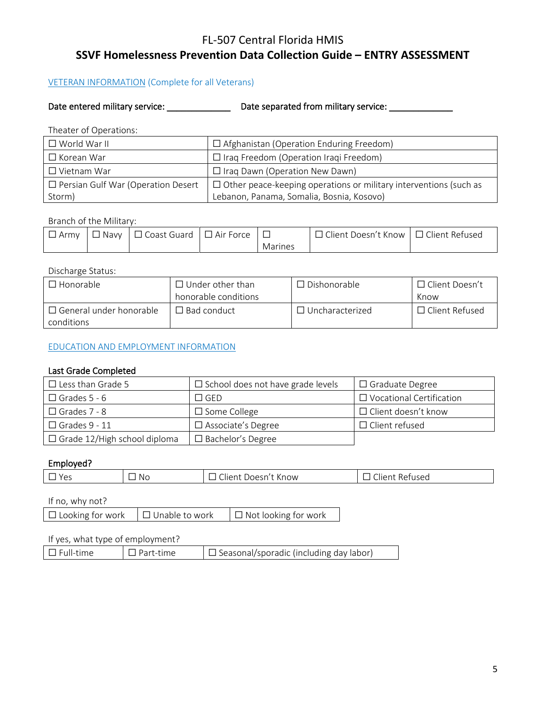#### VETERAN INFORMATION (Complete for all Veterans)

Date entered military service: \_\_\_\_\_\_\_\_\_\_\_\_\_\_\_\_\_\_\_ Date separated from military service: \_\_\_\_\_\_\_\_\_\_\_\_\_\_\_\_\_\_\_\_

Theater of Operations:

| $\square$ World War II                    | $\Box$ Afghanistan (Operation Enduring Freedom)                          |
|-------------------------------------------|--------------------------------------------------------------------------|
| $\Box$ Korean War                         | $\Box$ Iraq Freedom (Operation Iraqi Freedom)                            |
| $\Box$ Vietnam War                        | $\Box$ Iraq Dawn (Operation New Dawn)                                    |
| $\Box$ Persian Gulf War (Operation Desert | $\Box$ Other peace-keeping operations or military interventions (such as |
| Storm)                                    | Lebanon, Panama, Somalia, Bosnia, Kosovo)                                |

#### Branch of the Military:

| Army | Mavv N | □ Coast Guard | $\Box$ Air Force |         | ] Client Doesn't Know ∣□ Client Refused |  |
|------|--------|---------------|------------------|---------|-----------------------------------------|--|
|      |        |               |                  | Marines |                                         |  |

#### Discharge Status:

| $\Box$ Honorable                             | $\Box$ Under other than | $\Box$ Dishonorable    | □ Client Doesn't      |
|----------------------------------------------|-------------------------|------------------------|-----------------------|
|                                              | honorable conditions    |                        | Know                  |
| $\Box$ General under honorable<br>conditions | $\Box$ Bad conduct      | $\Box$ Uncharacterized | $\Box$ Client Refused |

#### EDUCATION AND EMPLOYMENT INFORMATION

#### Last Grade Completed

| $\Box$ Less than Grade 5            | $\Box$ School does not have grade levels | $\Box$ Graduate Degree          |
|-------------------------------------|------------------------------------------|---------------------------------|
| $\Box$ Grades 5 - 6                 | T GFD.                                   | $\Box$ Vocational Certification |
| $\Box$ Grades 7 - 8                 | $\Box$ Some College                      | $\Box$ Client doesn't know      |
| $\Box$ Grades 9 - 11                | $\Box$ Associate's Degree                | $\Box$ Client refused           |
| $\Box$ Grade 12/High school diploma | $\square$ Bachelor's Degree              |                                 |

#### Employed?

| $\sim$<br><now<br><math>  -</math><br/>.NC<br/>Vo.<br/>10 کار<br/><b>NIK</b><br/><br/>usec<br/><math>\sim</math></now<br> |
|---------------------------------------------------------------------------------------------------------------------------|
|---------------------------------------------------------------------------------------------------------------------------|

## If no, why not?

| $\Box$ Looking for work | $\Box$ Unable to work | $\Box$ Not looking for work |
|-------------------------|-----------------------|-----------------------------|
|-------------------------|-----------------------|-----------------------------|

#### If yes, what type of employment?

| $\Box$ Seasonal/sporadic (including day labor)<br>$\Box$ Full-time<br>l I Part-time |  |  |
|-------------------------------------------------------------------------------------|--|--|
|                                                                                     |  |  |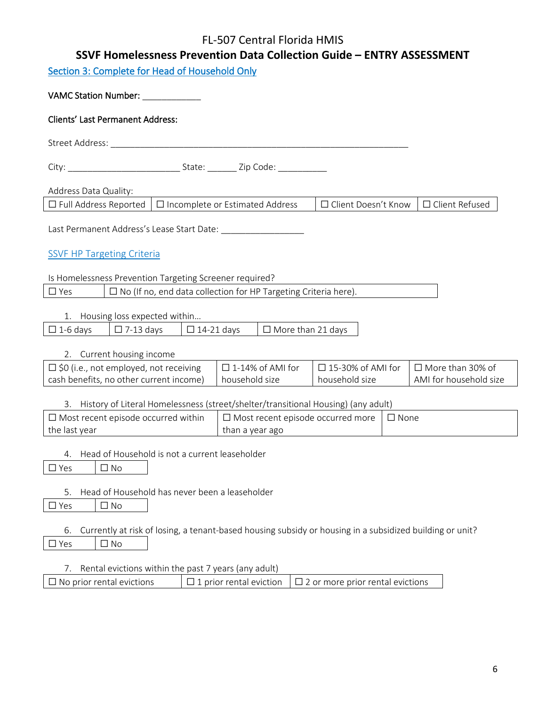# FL-507 Central Florida HMIS

# **SSVF Homelessness Prevention Data Collection Guide – ENTRY ASSESSMENT**

Section 3: Complete for Head of Household Only

| VAMC Station Number: VAMC Station Number:                                                                                     |
|-------------------------------------------------------------------------------------------------------------------------------|
| <b>Clients' Last Permanent Address:</b>                                                                                       |
| Street Address: No. 2014 12:00:00 12:00:00 12:00:00 12:00:00 12:00:00 12:00:00 12:00:00 12:00:00 12:00:00 12:0                |
|                                                                                                                               |
| Address Data Quality:                                                                                                         |
| □ Incomplete or Estimated Address<br>$\Box$ Full Address Reported<br>□ Client Doesn't Know<br>$\Box$ Client Refused           |
|                                                                                                                               |
| <b>SSVF HP Targeting Criteria</b>                                                                                             |
| Is Homelessness Prevention Targeting Screener required?                                                                       |
| $\Box$ Yes<br>$\Box$ No (If no, end data collection for HP Targeting Criteria here).                                          |
| 1. Housing loss expected within                                                                                               |
| $\Box$ 1-6 days<br>$\Box$ 7-13 days<br>$\Box$ 14-21 days<br>$\Box$ More than 21 days                                          |
| 2. Current housing income                                                                                                     |
| $\Box$ \$0 (i.e., not employed, not receiving<br>$\square$ 1-14% of AMI for<br>$\Box$ 15-30% of AMI for<br>□ More than 30% of |
| cash benefits, no other current income)<br>household size<br>AMI for household size<br>household size                         |
| 3. History of Literal Homelessness (street/shelter/transitional Housing) (any adult)                                          |
| $\Box$ Most recent episode occurred within<br>$\square$ Most recent episode occurred more<br>$\Box$ None                      |
| the last year<br>than a year ago                                                                                              |
| 4. Head of Household is not a current leaseholder                                                                             |
| $\Box$ Yes<br>$\Box$ No                                                                                                       |
| Head of Household has never been a leaseholder<br>5.                                                                          |
| $\Box$ Yes<br>$\Box$ No                                                                                                       |
|                                                                                                                               |
| Currently at risk of losing, a tenant-based housing subsidy or housing in a subsidized building or unit?<br>6.                |
| $\Box$ Yes<br>$\Box$ No                                                                                                       |
| Rental evictions within the past 7 years (any adult)<br>7.                                                                    |
| $\square$ No prior rental evictions<br>$\Box$ 1 prior rental eviction<br>$\square$ 2 or more prior rental evictions           |
|                                                                                                                               |